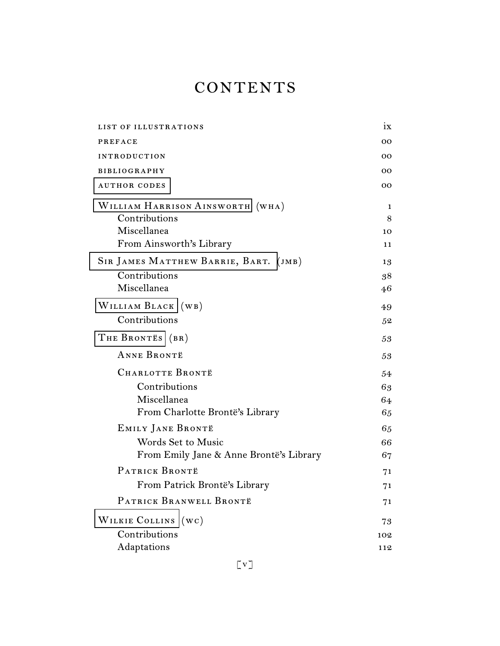## **CONTENTS**

| LIST OF ILLUSTRATIONS                   | 1X              |
|-----------------------------------------|-----------------|
| <b>PREFACE</b>                          | OO.             |
| <b>INTRODUCTION</b>                     | 00 <sup>o</sup> |
| <b>BIBLIOGRAPHY</b>                     | OO.             |
| <b>AUTHOR CODES</b>                     | OO.             |
| WILLIAM HARRISON AINSWORTH (WHA)        | 1               |
| Contributions                           | 8               |
| Miscellanea                             | 10              |
| From Ainsworth's Library                | 11              |
| SIR JAMES MATTHEW BARRIE, BART. (JMB)   | 13              |
| Contributions                           | 38              |
| Miscellanea                             | 46              |
| WILLIAM BLACK (WB)                      | 49              |
| Contributions                           | 52              |
| THE BRONTES (BR)                        | 53              |
| <b>ANNE BRONTË</b>                      | 53              |
| CHARLOTTE BRONTË                        | 54              |
| Contributions                           | 63              |
| Miscellanea                             | 64              |
| From Charlotte Brontë's Library         | 65              |
| EMILY JANE BRONTË                       | 65              |
| Words Set to Music                      | 66              |
| From Emily Jane & Anne Brontë's Library | 67              |
| PATRICK BRONTË                          | 71              |
| From Patrick Brontë's Library           | 71              |
| PATRICK BRANWELL BRONTË                 | 71              |
| WILKIE COLLINS (WC)                     | 73              |
| Contributions                           | 102             |
| Adaptations                             | 112             |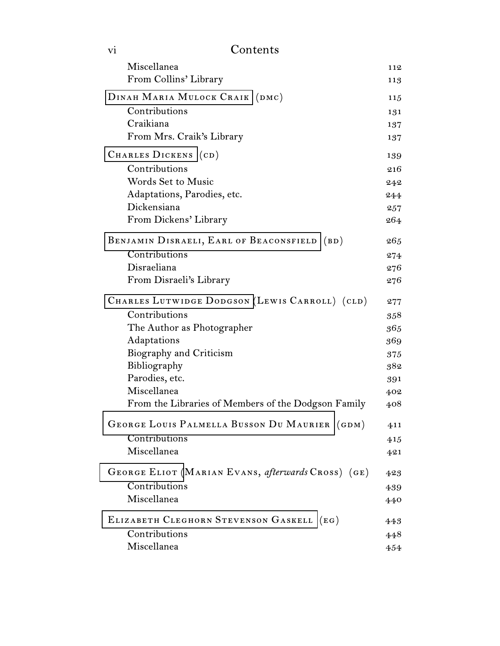| V <sub>1</sub>                 | Contents                                            |     |
|--------------------------------|-----------------------------------------------------|-----|
|                                | Miscellanea                                         | 112 |
|                                | From Collins' Library                               | 113 |
| DINAH MARIA MULOCK CRAIK (DMC) |                                                     |     |
|                                | Contributions                                       | 131 |
|                                | Craikiana                                           | 137 |
|                                | From Mrs. Craik's Library                           | 137 |
|                                | CHARLES DICKENS (CD)                                | 139 |
|                                | Contributions                                       | 216 |
|                                | <b>Words Set to Music</b>                           | 242 |
|                                | Adaptations, Parodies, etc.                         | 244 |
|                                | Dickensiana                                         | 257 |
|                                | From Dickens' Library                               | 264 |
|                                | BENJAMIN DISRAELI, EARL OF BEACONSFIELD (BD)        | 265 |
|                                | Contributions                                       | 274 |
|                                | Disraeliana                                         | 276 |
|                                | From Disraeli's Library                             | 276 |
|                                | CHARLES LUTWIDGE DODGSON (LEWIS CARROLL) (CLD)      | 277 |
|                                | Contributions                                       | 358 |
|                                | The Author as Photographer                          | 365 |
|                                | Adaptations                                         | 369 |
|                                | Biography and Criticism                             | 375 |
|                                | Bibliography                                        | 382 |
|                                | Parodies, etc.                                      | 391 |
|                                | Miscellanea                                         | 402 |
|                                | From the Libraries of Members of the Dodgson Family | 408 |
|                                | GEORGE LOUIS PALMELLA BUSSON DU MAURIER (GDM)       | 411 |
|                                | Contributions                                       | 415 |
|                                | Miscellanea                                         | 421 |
|                                | GEORGE ELIOT (MARIAN EVANS, afterwards CROSS) (GE)  | 423 |
|                                | Contributions                                       | 439 |
|                                | Miscellanea                                         | 440 |
|                                | ELIZABETH CLEGHORN STEVENSON GASKELL (EG)           | 443 |
|                                | Contributions                                       | 448 |
|                                | Miscellanea                                         | 454 |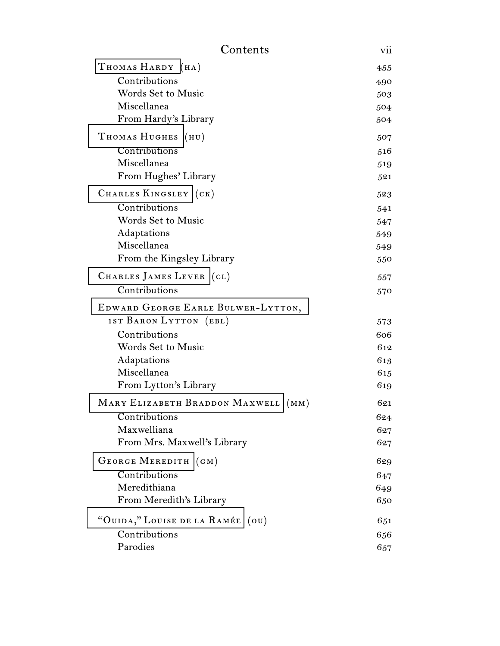| Contents<br>vii                        |     |  |
|----------------------------------------|-----|--|
| THOMAS HARDY (HA)                      | 455 |  |
| Contributions                          | 490 |  |
| <b>Words Set to Music</b>              | 503 |  |
| Miscellanea                            | 504 |  |
| From Hardy's Library                   | 504 |  |
| THOMAS HUGHES (HU)                     | 507 |  |
| Contributions                          | 516 |  |
| Miscellanea                            | 519 |  |
| From Hughes' Library                   | 521 |  |
| CHARLES KINGSLEY (CK)                  | 523 |  |
| Contributions                          | 541 |  |
| <b>Words Set to Music</b>              | 547 |  |
| Adaptations                            | 549 |  |
| Miscellanea                            | 549 |  |
| From the Kingsley Library              | 550 |  |
| CHARLES JAMES LEVER (CL)               | 557 |  |
| Contributions                          | 570 |  |
| EDWARD GEORGE EARLE BULWER-LYTTON,     |     |  |
| 1ST BARON LYTTON (EBL)                 | 573 |  |
| Contributions                          | 606 |  |
| <b>Words Set to Music</b>              | 612 |  |
| Adaptations                            | 613 |  |
| Miscellanea                            | 615 |  |
| From Lytton's Library                  | 619 |  |
| MARY ELIZABETH BRADDON MAXWELL<br>(MM) | 621 |  |
| Contributions                          | 624 |  |
| Maxwelliana                            | 627 |  |
| From Mrs. Maxwell's Library            | 627 |  |
| GEORGE MEREDITH (GM)                   | 629 |  |
| Contributions                          | 647 |  |
| Meredithiana                           | 649 |  |
| From Meredith's Library                | 650 |  |
| "OUIDA," LOUISE DE LA RAMÉE (OU)       | 651 |  |
| Contributions                          | 656 |  |
| Parodies                               | 657 |  |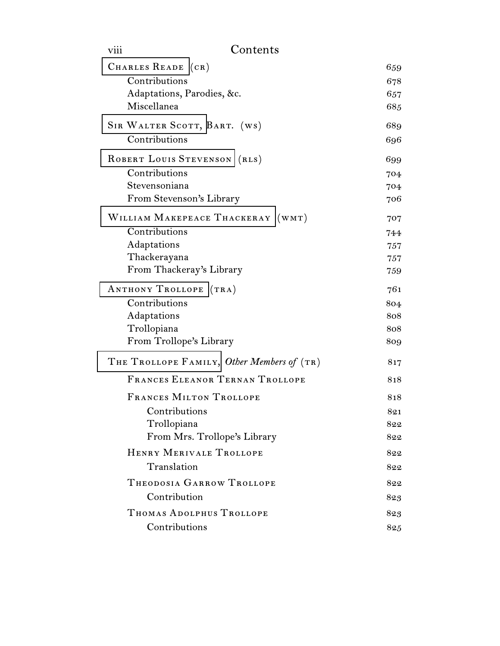| viii        | Contents                                   |     |
|-------------|--------------------------------------------|-----|
|             | CHARLES READE (CR)                         | 659 |
|             | Contributions                              | 678 |
|             | Adaptations, Parodies, &c.                 | 657 |
| Miscellanea |                                            | 685 |
|             | SIR WALTER SCOTT, BART. (WS)               | 689 |
|             | Contributions                              | 696 |
|             | ROBERT LOUIS STEVENSON (RLS)               | 699 |
|             | Contributions                              | 704 |
|             | Stevensoniana                              | 704 |
|             | From Stevenson's Library                   | 706 |
|             | WILLIAM MAKEPEACE THACKERAY (WMT)          | 707 |
|             | Contributions                              | 744 |
| Adaptations |                                            | 757 |
|             | Thackerayana                               | 757 |
|             | From Thackeray's Library                   | 759 |
|             | ANTHONY TROLLOPE (TRA)                     | 761 |
|             | Contributions                              | 804 |
| Adaptations |                                            | 808 |
| Trollopiana |                                            | 808 |
|             | From Trollope's Library                    | 809 |
|             | THE TROLLOPE FAMILY, Other Members of (TR) | 817 |
|             | FRANCES ELEANOR TERNAN TROLLOPE            | 818 |
|             | FRANCES MILTON TROLLOPE                    | 818 |
|             | Contributions                              | 821 |
|             | Trollopiana                                | 822 |
|             | From Mrs. Trollope's Library               | 822 |
|             | HENRY MERIVALE TROLLOPE                    | 822 |
|             | Translation                                | 822 |
|             | THEODOSIA GARROW TROLLOPE                  | 822 |
|             | Contribution                               | 823 |
|             | THOMAS ADOLPHUS TROLLOPE                   | 823 |
|             | Contributions                              | 825 |